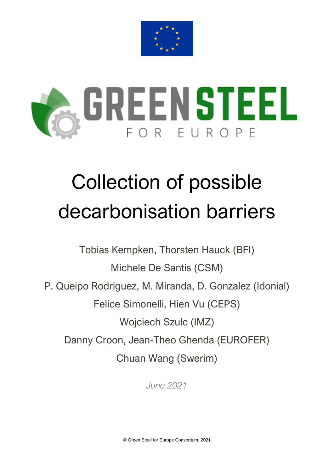



# Collection of possible decarbonisation barriers

Tobias Kempken, Thorsten Hauck (BFI)

Michele De Santis (CSM)

P. Queipo Rodriguez, M. Miranda, D. Gonzalez (Idonial)

Felice Simonelli, Hien Vu (CEPS)

Wojciech Szulc (IMZ)

Danny Croon, Jean-Theo Ghenda (EUROFER)

Chuan Wang (Swerim)

*June 2021*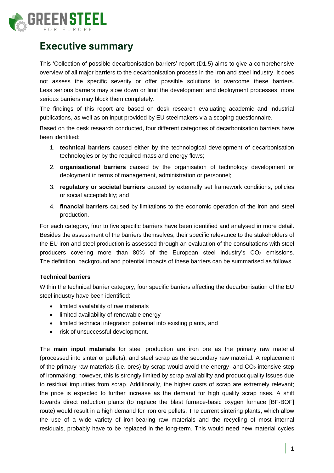

## **Executive summary**

This 'Collection of possible decarbonisation barriers' report (D1.5) aims to give a comprehensive overview of all major barriers to the decarbonisation process in the iron and steel industry. It does not assess the specific severity or offer possible solutions to overcome these barriers. Less serious barriers may slow down or limit the development and deployment processes; more serious barriers may block them completely.

The findings of this report are based on desk research evaluating academic and industrial publications, as well as on input provided by EU steelmakers via a scoping questionnaire.

Based on the desk research conducted, four different categories of decarbonisation barriers have been identified:

- 1. **technical barriers** caused either by the technological development of decarbonisation technologies or by the required mass and energy flows;
- 2. **organisational barriers** caused by the organisation of technology development or deployment in terms of management, administration or personnel;
- 3. **regulatory or societal barriers** caused by externally set framework conditions, policies or social acceptability; and
- 4. **financial barriers** caused by limitations to the economic operation of the iron and steel production.

For each category, four to five specific barriers have been identified and analysed in more detail. Besides the assessment of the barriers themselves, their specific relevance to the stakeholders of the EU iron and steel production is assessed through an evaluation of the consultations with steel producers covering more than 80% of the European steel industry's  $CO<sub>2</sub>$  emissions. The definition, background and potential impacts of these barriers can be summarised as follows.

### **Technical barriers**

Within the technical barrier category, four specific barriers affecting the decarbonisation of the EU steel industry have been identified:

- limited availability of raw materials
- limited availability of renewable energy
- limited technical integration potential into existing plants, and
- risk of unsuccessful development.

The **main input materials** for steel production are iron ore as the primary raw material (processed into sinter or pellets), and steel scrap as the secondary raw material. A replacement of the primary raw materials (i.e. ores) by scrap would avoid the energy- and  $CO<sub>2</sub>$ -intensive step of ironmaking; however, this is strongly limited by scrap availability and product quality issues due to residual impurities from scrap. Additionally, the higher costs of scrap are extremely relevant; the price is expected to further increase as the demand for high quality scrap rises. A shift towards direct reduction plants (to replace the blast furnace-basic oxygen furnace [BF-BOF] route) would result in a high demand for iron ore pellets. The current sintering plants, which allow the use of a wide variety of iron-bearing raw materials and the recycling of most internal residuals, probably have to be replaced in the long-term. This would need new material cycles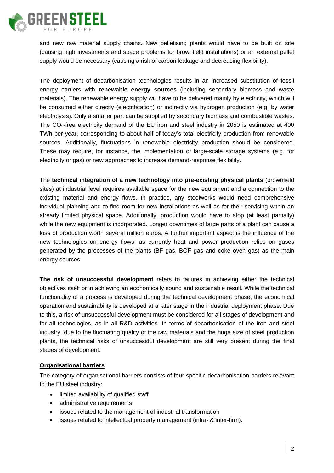

and new raw material supply chains. New pelletising plants would have to be built on site (causing high investments and space problems for brownfield installations) or an external pellet supply would be necessary (causing a risk of carbon leakage and decreasing flexibility).

The deployment of decarbonisation technologies results in an increased substitution of fossil energy carriers with **renewable energy sources** (including secondary biomass and waste materials). The renewable energy supply will have to be delivered mainly by electricity, which will be consumed either directly (electrification) or indirectly via hydrogen production (e.g. by water electrolysis). Only a smaller part can be supplied by secondary biomass and combustible wastes. The CO<sub>2</sub>-free electricity demand of the EU iron and steel industry in 2050 is estimated at 400 TWh per year, corresponding to about half of today's total electricity production from renewable sources. Additionally, fluctuations in renewable electricity production should be considered. These may require, for instance, the implementation of large-scale storage systems (e.g. for electricity or gas) or new approaches to increase demand-response flexibility.

The **technical integration of a new technology into pre-existing physical plants** (brownfield sites) at industrial level requires available space for the new equipment and a connection to the existing material and energy flows. In practice, any steelworks would need comprehensive individual planning and to find room for new installations as well as for their servicing within an already limited physical space. Additionally, production would have to stop (at least partially) while the new equipment is incorporated. Longer downtimes of large parts of a plant can cause a loss of production worth several million euros. A further important aspect is the influence of the new technologies on energy flows, as currently heat and power production relies on gases generated by the processes of the plants (BF gas, BOF gas and coke oven gas) as the main energy sources.

**The risk of unsuccessful development** refers to failures in achieving either the technical objectives itself or in achieving an economically sound and sustainable result. While the technical functionality of a process is developed during the technical development phase, the economical operation and sustainability is developed at a later stage in the industrial deployment phase. Due to this, a risk of unsuccessful development must be considered for all stages of development and for all technologies, as in all R&D activities. In terms of decarbonisation of the iron and steel industry, due to the fluctuating quality of the raw materials and the huge size of steel production plants, the technical risks of unsuccessful development are still very present during the final stages of development.

#### **Organisational barriers**

The category of organisational barriers consists of four specific decarbonisation barriers relevant to the EU steel industry:

- limited availability of qualified staff
- administrative requirements
- issues related to the management of industrial transformation
- issues related to intellectual property management (intra- & inter-firm).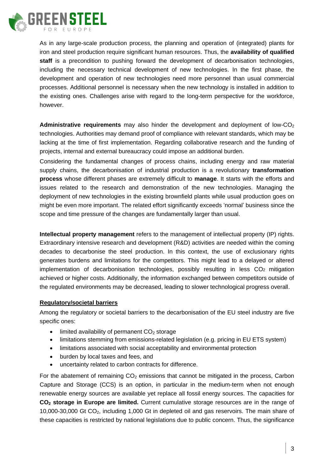

As in any large-scale production process, the planning and operation of (integrated) plants for iron and steel production require significant human resources. Thus, the **availability of qualified staff** is a precondition to pushing forward the development of decarbonisation technologies, including the necessary technical development of new technologies. In the first phase, the development and operation of new technologies need more personnel than usual commercial processes. Additional personnel is necessary when the new technology is installed in addition to the existing ones. Challenges arise with regard to the long-term perspective for the workforce, however.

**Administrative requirements** may also hinder the development and deployment of low-CO<sup>2</sup> technologies. Authorities may demand proof of compliance with relevant standards, which may be lacking at the time of first implementation. Regarding collaborative research and the funding of projects, internal and external bureaucracy could impose an additional burden.

Considering the fundamental changes of process chains, including energy and raw material supply chains, the decarbonisation of industrial production is a revolutionary **transformation process** whose different phases are extremely difficult to **manage**. It starts with the efforts and issues related to the research and demonstration of the new technologies. Managing the deployment of new technologies in the existing brownfield plants while usual production goes on might be even more important. The related effort significantly exceeds 'normal' business since the scope and time pressure of the changes are fundamentally larger than usual.

**Intellectual property management** refers to the management of intellectual property (IP) rights. Extraordinary intensive research and development (R&D) activities are needed within the coming decades to decarbonise the steel production. In this context, the use of exclusionary rights generates burdens and limitations for the competitors. This might lead to a delayed or altered implementation of decarbonisation technologies, possibly resulting in less CO2 mitigation achieved or higher costs. Additionally, the information exchanged between competitors outside of the regulated environments may be decreased, leading to slower technological progress overall.

### **Regulatory/societal barriers**

Among the regulatory or societal barriers to the decarbonisation of the EU steel industry are five specific ones:

- $\bullet$  limited availability of permanent CO<sub>2</sub> storage
- limitations stemming from emissions-related legislation (e.g. pricing in EU ETS system)
- limitations associated with social acceptability and environmental protection
- burden by local taxes and fees, and
- uncertainty related to carbon contracts for difference.

For the abatement of remaining  $CO<sub>2</sub>$  emissions that cannot be mitigated in the process, Carbon Capture and Storage (CCS) is an option, in particular in the medium-term when not enough renewable energy sources are available yet replace all fossil energy sources. The capacities for **CO<sup>2</sup> storage in Europe are limited.** Current cumulative storage resources are in the range of 10,000-30,000 Gt CO2, including 1,000 Gt in depleted oil and gas reservoirs. The main share of these capacities is restricted by national legislations due to public concern. Thus, the significance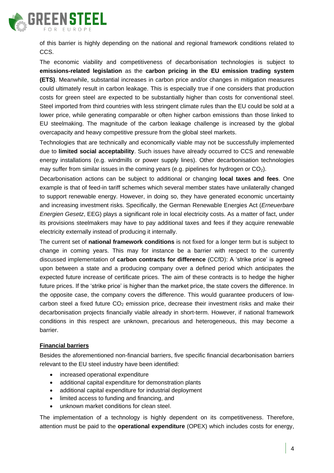

of this barrier is highly depending on the national and regional framework conditions related to CCS.

The economic viability and competitiveness of decarbonisation technologies is subject to **emissions-related legislation** as the **carbon pricing in the EU emission trading system (ETS)**. Meanwhile, substantial increases in carbon price and/or changes in mitigation measures could ultimately result in carbon leakage. This is especially true if one considers that production costs for green steel are expected to be substantially higher than costs for conventional steel. Steel imported from third countries with less stringent climate rules than the EU could be sold at a lower price, while generating comparable or often higher carbon emissions than those linked to EU steelmaking. The magnitude of the carbon leakage challenge is increased by the global overcapacity and heavy competitive pressure from the global steel markets.

Technologies that are technically and economically viable may not be successfully implemented due to **limited social acceptability**. Such issues have already occurred to CCS and renewable energy installations (e.g. windmills or power supply lines). Other decarbonisation technologies may suffer from similar issues in the coming years (e.g. pipelines for hydrogen or  $CO<sub>2</sub>$ ).

Decarbonisation actions can be subject to additional or changing **local taxes and fees**. One example is that of feed-in tariff schemes which several member states have unilaterally changed to support renewable energy. However, in doing so, they have generated economic uncertainty and increasing investment risks. Specifically, the German Renewable Energies Act (*Erneuerbare Energien Gesetz*, EEG) plays a significant role in local electricity costs. As a matter of fact, under its provisions steelmakers may have to pay additional taxes and fees if they acquire renewable electricity externally instead of producing it internally.

The current set of **national framework conditions** is not fixed for a longer term but is subject to change in coming years. This may for instance be a barrier with respect to the currently discussed implementation of **carbon contracts for difference** (CCfD): A 'strike price' is agreed upon between a state and a producing company over a defined period which anticipates the expected future increase of certificate prices. The aim of these contracts is to hedge the higher future prices. If the 'strike price' is higher than the market price, the state covers the difference. In the opposite case, the company covers the difference. This would guarantee producers of lowcarbon steel a fixed future  $CO<sub>2</sub>$  emission price, decrease their investment risks and make their decarbonisation projects financially viable already in short-term. However, if national framework conditions in this respect are unknown, precarious and heterogeneous, this may become a barrier.

### **Financial barriers**

Besides the aforementioned non-financial barriers, five specific financial decarbonisation barriers relevant to the EU steel industry have been identified:

- increased operational expenditure
- additional capital expenditure for demonstration plants
- additional capital expenditure for industrial deployment
- limited access to funding and financing, and
- unknown market conditions for clean steel.

The implementation of a technology is highly dependent on its competitiveness. Therefore, attention must be paid to the **operational expenditure** (OPEX) which includes costs for energy,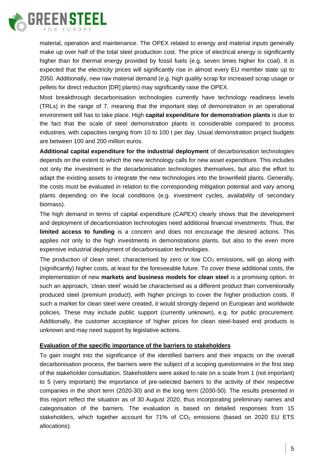

material, operation and maintenance. The OPEX related to energy and material inputs generally make up over half of the total steel production cost. The price of electrical energy is significantly higher than for thermal energy provided by fossil fuels (e.g. seven times higher for coal). It is expected that the electricity prices will significantly rise in almost every EU member state up to 2050. Additionally, new raw material demand (e.g. high quality scrap for increased scrap usage or pellets for direct reduction [DR] plants) may significantly raise the OPEX.

Most breakthrough decarbonisation technologies currently have technology readiness levels (TRLs) in the range of 7, meaning that the important step of demonstration in an operational environment still has to take place. High **capital expenditure for demonstration plants** is due to the fact that the scale of steel demonstration plants is considerable compared to process industries, with capacities ranging from 10 to 100 t per day. Usual demonstration project budgets are between 100 and 200 million euros.

**Additional capital expenditure for the industrial deployment** of decarbonisation technologies depends on the extent to which the new technology calls for new asset expenditure. This includes not only the investment in the decarbonisation technologies themselves, but also the effort to adapt the existing assets to integrate the new technologies into the brownfield plants. Generally, the costs must be evaluated in relation to the corresponding mitigation potential and vary among plants depending on the local conditions (e.g. investment cycles, availability of secondary biomass).

The high demand in terms of capital expenditure (CAPEX) clearly shows that the development and deployment of decarbonisation technologies need additional financial investments. Thus, the **limited access to funding** is a concern and does not encourage the desired actions. This applies not only to the high investments in demonstrations plants, but also to the even more expensive industrial deployment of decarbonisation technologies.

The production of clean steel, characterised by zero or low  $CO<sub>2</sub>$  emissions, will go along with (significantly) higher costs, at least for the foreseeable future. To cover these additional costs, the implementation of new **markets and business models for clean steel** is a promising option. In such an approach, 'clean steel' would be characterised as a different product than conventionally produced steel (premium product), with higher pricings to cover the higher production costs. If such a market for clean steel were created, it would strongly depend on European and worldwide policies. These may include public support (currently unknown), e.g. for public procurement. Additionally, the customer acceptance of higher prices for clean steel-based end products is unknown and may need support by legislative actions.

### **Evaluation of the specific importance of the barriers to stakeholders**

To gain insight into the significance of the identified barriers and their impacts on the overall decarbonisation process, the barriers were the subject of a scoping questionnaire in the first step of the stakeholder consultation. Stakeholders were asked to rate on a scale from 1 (not important) to 5 (very important) the importance of pre-selected barriers to the activity of their respective companies in the short term (2020-30) and in the long term (2030-50). The results presented in this report reflect the situation as of 30 August 2020, thus incorporating preliminary names and categorisation of the barriers. The evaluation is based on detailed responses from 15 stakeholders, which together account for  $71\%$  of  $CO<sub>2</sub>$  emissions (based on 2020 EU ETS allocations).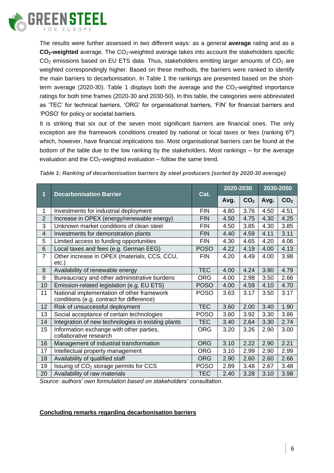

The results were further assessed in two different ways: as a general **average** rating and as a **CO2-weighted** average. The CO2-weighted average takes into account the stakeholders specific  $CO<sub>2</sub>$  emissions based on EU ETS data. Thus, stakeholders emitting larger amounts of  $CO<sub>2</sub>$  are weighted correspondingly higher. Based on these methods, the barriers were ranked to identify the main barriers to decarbonisation. In [Table 1](#page-6-0) the rankings are presented based on the short-term average (2020-30). [Table 1](#page-6-0) displays both the average and the  $CO<sub>2</sub>$ -weighted importance ratings for both time frames (2020-30 and 2030-50). In this table, the categories were abbreviated as 'TEC' for technical barriers, 'ORG' for organisational barriers, 'FIN' for financial barriers and 'POSO' for policy or societal barriers.

It is striking that six out of the seven most significant barriers are financial ones. The only exception are the framework conditions created by national or local taxes or fees (ranking  $6<sup>th</sup>$ ) which, however, have financial implications too. Most organisational barriers can be found at the bottom of the table due to the low ranking by the stakeholders. Most rankings – for the average evaluation and the  $CO<sub>2</sub>$ -weighted evaluation – follow the same trend.

| 1              | <b>Decarbonisation Barrier</b>                                                          | Cat.        | 2020-2030 |                 | 2030-2050 |                 |
|----------------|-----------------------------------------------------------------------------------------|-------------|-----------|-----------------|-----------|-----------------|
|                |                                                                                         |             | Avg.      | CO <sub>2</sub> | Avg.      | CO <sub>2</sub> |
| 1              | Investments for industrial deployment                                                   | <b>FIN</b>  | 4.80      | 3.76            | 4.50      | 4.51            |
| $\overline{2}$ | Increase in OPEX (energy/renewable energy)                                              | <b>FIN</b>  | 4.50      | 4.75            | 4.30      | 4.25            |
| 3              | Unknown market conditions of clean steel                                                | <b>FIN</b>  | 4.50      | 3.85            | 4.30      | 3.85            |
| $\overline{4}$ | Investments for demonstration plants                                                    | <b>FIN</b>  | 4.40      | 4.59            | 4.11      | 3.11            |
| 5              | Limited access to funding opportunities                                                 | <b>FIN</b>  | 4.30      | 4.65            | 4.20      | 4.06            |
| 6              | Local taxes and fees (e.g. German EEG)                                                  | <b>POSO</b> | 4.22      | 4.19            | 4.00      | 4.13            |
| $\overline{7}$ | Other increase in OPEX (materials, CCS, CCU,<br>$etc.$ )                                | <b>FIN</b>  | 4.20      | 4.49            | 4.00      | 3.98            |
| 8              | Availability of renewable energy                                                        | <b>TEC</b>  | 4.00      | 4.24            | 3.90      | 4.79            |
| 9              | Bureaucracy and other administrative burdens                                            | <b>ORG</b>  | 4.00      | 2.98            | 3.50      | 2.66            |
| 10             | Emission-related legislation (e.g. EU ETS)                                              | <b>POSO</b> | 4.00      | 4.59            | 4.10      | 4.70            |
| 11             | National implementation of other framework<br>conditions (e.g. contract for difference) | <b>POSO</b> | 3.63      | 3.17            | 3.50      | 3.17            |
| 12             | Risk of unsuccessful deployment                                                         | <b>TEC</b>  | 3.60      | 2.00            | 3.40      | 1.90            |
| 13             | Social acceptance of certain technologies                                               | <b>POSO</b> | 3.60      | 3.92            | 3.30      | 3.86            |
| 14             | Integration of new technologies in existing plants                                      | <b>TEC</b>  | 3.40      | 2.64            | 3.30      | 2.74            |
| 15             | Information exchange with other parties,<br>collaborative research                      | <b>ORG</b>  | 3.20      | 3.26            | 2.90      | 3.00            |
| 16             | Management of industrial transformation                                                 | <b>ORG</b>  | 3.10      | 2.22            | 2.90      | 2.21            |
| 17             | Intellectual property management                                                        | <b>ORG</b>  | 3.10      | 2.99            | 2.90      | 2.99            |
| 18             | Availability of qualified staff                                                         | <b>ORG</b>  | 2.90      | 2.60            | 2.60      | 2.66            |
| 19             | Issuing of CO <sub>2</sub> storage permits for CCS                                      | <b>POSO</b> | 2.89      | 3.48            | 2.67      | 3.48            |
| 20             | Availability of raw materials                                                           | <b>TEC</b>  | 2.40      | 3.28            | 3.10      | 3.98            |

<span id="page-6-0"></span>*Table 1: Ranking of decarbonisation barriers by steel producers (sorted by 2020-30 average)*

*Source: authors' own formulation based on stakeholders' consultation.*

### **Concluding remarks regarding decarbonisation barriers**